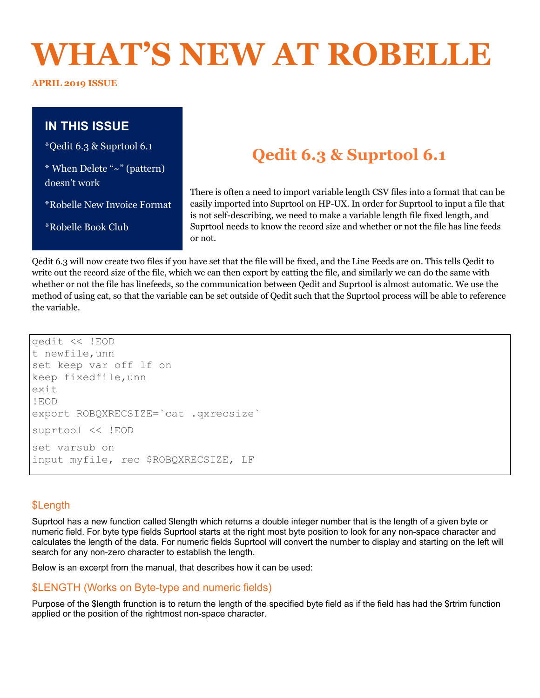# **WHAT'S NEW AT ROBELLE**

**APRIL 2019 ISSUE** 

## **IN THIS ISSUE**

\*Qedit 6.3 & Suprtool 6.1

\* When Delete "~" (pattern) doesn't work

\*Robelle New Invoice Format

\*Robelle Book Club

# **Qedit 6.3 & Suprtool 6.1**

There is often a need to import variable length CSV files into a format that can be easily imported into Suprtool on HP-UX. In order for Suprtool to input a file that is not self-describing, we need to make a variable length file fixed length, and Suprtool needs to know the record size and whether or not the file has line feeds or not.

Qedit 6.3 will now create two files if you have set that the file will be fixed, and the Line Feeds are on. This tells Qedit to write out the record size of the file, which we can then export by catting the file, and similarly we can do the same with whether or not the file has linefeeds, so the communication between Qedit and Suprtool is almost automatic. We use the method of using cat, so that the variable can be set outside of Qedit such that the Suprtool process will be able to reference the variable.

```
qedit << !EOD
t newfile,unn
set keep var off lf on
keep fixedfile,unn
exit
!EOD
export ROBQXRECSIZE=`cat .qxrecsize`
suprtool << !EOD
set varsub on
input myfile, rec $ROBQXRECSIZE, LF
```
### \$Length

Suprtool has a new function called \$length which returns a double integer number that is the length of a given byte or numeric field. For byte type fields Suprtool starts at the right most byte position to look for any non-space character and calculates the length of the data. For numeric fields Suprtool will convert the number to display and starting on the left will search for any non-zero character to establish the length.

Below is an excerpt from the manual, that describes how it can be used:

#### \$LENGTH (Works on Byte-type and numeric fields)

Purpose of the \$length frunction is to return the length of the specified byte field as if the field has had the \$rtrim function applied or the position of the rightmost non-space character.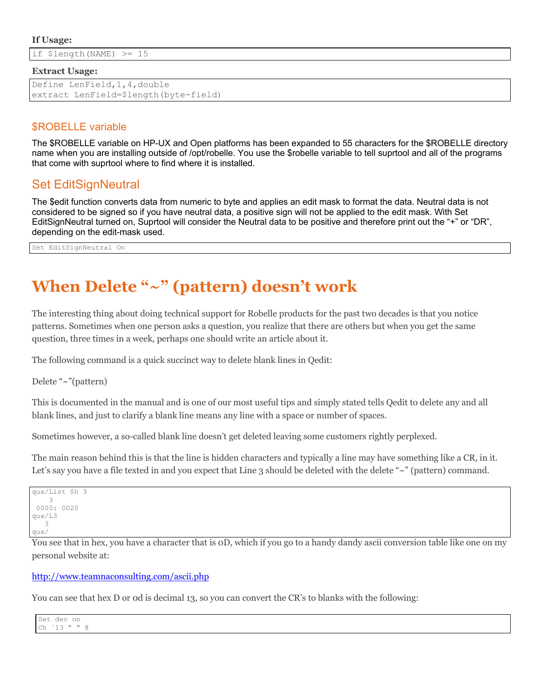#### **If Usage:**

if \$length(NAME) >= 15

#### **Extract Usage:**

```
Define LenField,1,4,double
extract LenField=$length(byte-field)
```
#### \$ROBELLE variable

The \$ROBELLE variable on HP-UX and Open platforms has been expanded to 55 characters for the \$ROBELLE directory name when you are installing outside of /opt/robelle. You use the \$robelle variable to tell suprtool and all of the programs that come with suprtool where to find where it is installed.

## Set EditSignNeutral

The \$edit function converts data from numeric to byte and applies an edit mask to format the data. Neutral data is not considered to be signed so if you have neutral data, a positive sign will not be applied to the edit mask. With Set EditSignNeutral turned on, Suprtool will consider the Neutral data to be positive and therefore print out the "+" or "DR", depending on the edit-mask used.

Set EditSignNeutral On

## **When Delete "~" (pattern) doesn't work**

The interesting thing about doing technical support for Robelle products for the past two decades is that you notice patterns. Sometimes when one person asks a question, you realize that there are others but when you get the same question, three times in a week, perhaps one should write an article about it.

The following command is a quick succinct way to delete blank lines in Qedit:

Delete "~"(pattern)

This is documented in the manual and is one of our most useful tips and simply stated tells Qedit to delete any and all blank lines, and just to clarify a blank line means any line with a space or number of spaces.

Sometimes however, a so-called blank line doesn't get deleted leaving some customers rightly perplexed.

The main reason behind this is that the line is hidden characters and typically a line may have something like a CR, in it. Let's say you have a file texted in and you expect that Line 3 should be deleted with the delete "~" (pattern) command.

```
qux/List $h 3
 3 
 0000: 0D20
qux/L3
   3 
qux/
```
You see that in hex, you have a character that is 0D, which if you go to a handy dandy ascii conversion table like one on my personal website at:

#### http://www.teamnaconsulting.com/ascii.php

You can see that hex D or od is decimal 13, so you can convert the CR's to blanks with the following:

| Set dec on                                      |  |  |
|-------------------------------------------------|--|--|
| $\mathcal{U}$ $\mathcal{U}$<br>$ch$ $13$<br>. . |  |  |